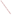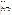# **Technical Factsheet on: LEAD**

# [List of Contaminants](http://www.epa.gov/safewater/hfacts.html)

### As part of the Drinking Water and Health pages, this fact sheet is part of a larger publication: **National Primary Drinking Water Regulations**

### **Drinking Water Standards**

MCLG: zero Action Level: > 0.015 mg/L in more than 10 percent of tap water samples HAL(child): none

## **Health Effects Summary**

 Acute: Lead can cause a variety of adverse health effects in humans. At relatively low levels of exposure, these effects may include interference with red blood cell chemistry, delays in normal physical and mental neurobehavioral development, may occur at blood lead levels so low as to be essentially without a development in babies and young children, slight deficits in the attention span, hearing, and learning abilities of children, and slight increases in the blood pressure of some adults. It appears that some of these effects, particularly changes in the levels of certain blood enzymes and in aspects of children's threshold.

Chronic: Chronic exposure to lead has been linked to cerebrovascular and kidney disease in humans.

Cancer: Lead has the potential to cause cancer from a lifetime exposure at levels above the action level.

#### **Usage Patterns**

 85% of the primary lead is produced domestically and 40-50% is recovered and recycled. Eighty eight Lead is the fifth most important metal in the USA economy in terms of consumption. Of this approximately percent of the lead mined in the US comes from seven mines in the New Lead Belt in southeastern Missouri; the rest coming from eight mines in Colorado, Idaho, and Utah. Three of the six USA lead smelters are from this region, the others are located in Idaho, Montana, and Texas.

#### **Release Patterns**

Lead occurs in drinking water from two sources: (1) Lead in raw water supplies, i.e., source water or distributed water, and (2) corrosion of plumbing materials in the water distribution system (corrosion byproducts). Most lead contamination is from corrosion by-products.

 Occurrence in Source Water and Distributed Water. Based on a variety of water quality surveys, EPA now leaving the treatment plant with lead levels greater than 0.005 mg/L These two sources together indicate distribution system with lead levels greater than 0.005 mg/L. These systems serve less than 3 percent of estimates that approximately 600 groundwater systems and about 215 surface suppliers may have water that less than 1 percent of the public water systems in the United States have water entering the people that receive their drinking water from public water systems.

 From 1987 to 1993, according to the Toxics Release Inventory lead compound releases to land and water largest direct releases to water occurred in Ohio. totalled nearly 144 million lbs., almost all of which was to land. These releases were primarily from lead and copper smelting industries. The largest releases occurred in Missouri, Arizona and Montana. The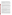Occurrence as a Corrosion By-Product. Lead in drinking water results primarily from corrosion of materials located throughout the distribution system containing lead and copper and from lead and copper plumbing materials used to plumb public- and privately-owned structures connected to the corrosion, how long the water is in contact with the lead containing surfaces, and how corrosive the water distribution system. The amount of lead in drinking water attributable to corrosion by-products depends on a number of factors, including the amount and age of lead and copper bearing materials susceptible to in the system is toward these materials.

 The potential sources of lead corrosion by-products found in drinking water can include: Water service mains (rarely), lead goosenecks or pigtails, lead service lines and interior household pipes, lead solders and fluxes used to connect copper pipes, alloys containing lead, including some faucets made of brass or bronze.

 estimates that there are about 10 million lead service lines/connections. About 20 percent of all public Most public water systems serve at least some buildings with lead solder and/or lead service lines. EPA water systems have some lead service lines/connections within their distribution system.

 The amount of lead in drinking water depends heavily on the corrosivity of the water. All water is corrosive to metal plumbing materials to some degree, even water termed noncorrosive or water treated to make it less corrosive. The corrosivity of water to lead is influenced by water quality parameters such as pH, total alkalinity, dissolved inorganic carbonate, calcium, and hardness. Galvanic corrosion of lead into water also occurs with lead-soldered copper pipes, due to differences in the electrochemical potential of the two metals. Grounding of household electrical systems to plumbing may also exacerbate galvanic corrosion.

#### **Environmental Fate**

 disposal. The initial means of entry is via the atmosphere. Lead may also enter the atmosphere from the Lead may enter the environment during its mining, ore processing, smelting, refining use, recycling or weathering of soil and volcanos, but these sources are minor compared with anthropogenic ones.

 Lead will be retained in the upper 2-5 cm of soil, especially soils with at least 5% organic matter or a pH 5 or above. Leaching is not important under normal conditions. It is expected to slowly undergo speciation to the more insoluble sulfate, sulfide, oxide, and phosphate salts.

 ligands. Lead is effectively removed from the water column to the sediment by adsorption to organic Lead enters water from atmospheric fallout, runoff or wastewater; little is transferred from natural ores. Metallic lead is attacked by pure water in the presence of oxygen, but if the water contains carbonates and silicates, protective films are formed preventing further attack. That which dissolves tends to form matter and clay minerals, precipitation as insoluble salt, and reaction with hydrous iron and manganese oxide. Under most circumstances, adsorption predominates.

Lake sediment microorganisms are able to directly methylate certain inorganic lead compounds. Under appropriate conditions, dissolution due to anaerobic microbial action may be significant in subsurface environments. The mean percentage removal of lead during the activated sludge process was 82% and was almost entirely due to the removal of the insoluble fraction by adsorption onto the sludge floc and to a much lesser extent, precipitation.

 of Pb is 10 ppb above pH 8, while near pH 6.5 the solubility can approach or exceed 100 ppb. Pb(0) and The most stable form of lead in natural water is a function of the ions present, the pH, and the redox potential. In oxidizing systems, the least soluble common forms are probably the carbonate, hydroxide, and hydroxycarbonate. In reduced systems where sulfur is present, PbS is the stable solid. The solubility Pb(+2) can be oxidatively methylated by naturally occurring compounds such as methyl iodide and glycine betaine. This can result in the dissolution of lead already bound to sediment or particulate matter.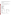Evidence suggests that lead uptake in fish is localized in the mucous on the epidermis, the dermis, and Lead does not appear to bioconcentrate significantly in fish but does in some shellfish such as mussels. scales so that the availability in edible portions do not pose a human health danger.

#### **Chemical/Physical Properties**

CAS Number: 7439-92-1

Color/ Form/Odor: Bluish-white, silvery, gray metal, lustrous when freshly cut.

Soil sorption coefficient: N/A; Low mobility in most soils, lowest at neutral pH and high organic matter.

Common Ores: sulfide-Galena; oxide-Lanarkite; carbonate-Cerrusite; sulfate-Anglesite

Bioconcentration Factor: Log BCFs for fish, 1.65; shellfish, 3.4<br>Solubilities:

 acetate- 443 g/L at 20 deg C carbonate- 0.0011 g/L at 20 deg C chromate- 0.2 mg/L nitrate- 376.5 g/L at 0 deg C oxide- 0.05 g/L at 20 deg C dioxide- insoluble phosphate- insoluble sulfate- 0.4 g/L sulfide- insoluble tetraethyl- 0.29 mg/L at 25 deg C thiocyanate- 0.5 g/L at 20 deg C arsenate- insoluble in cold water chloride- 10 g/L cold water thiosulfate- 0.3 g/L cold water

| <b>Other Regulatory Information</b>     |                |                                                                      |                        |
|-----------------------------------------|----------------|----------------------------------------------------------------------|------------------------|
| <b>Monitoring:</b>                      | For Lead       | <b>For Water Quality Parameters</b><br>Within the<br>At Entry to the |                        |
| &\$160:                                 | At Home Taps   | Distribution<br>System                                               | Distribution<br>System |
| <b>Monitoring Period</b>                |                |                                                                      |                        |
| Initial                                 | Every 6 months | Every 6 months                                                       | Every 6 months         |
| After corrosion<br>control installation | Every 6 months | Every 6 months                                                       | Every 2 weeks          |
| <b>Reduced monitoring</b>               |                |                                                                      |                        |
| - Conditional                           | Once a year    | Every 6 months                                                       | Every 2 weeks          |
| - Final                                 | Every 3 years  | Every 3 years                                                        | Every 2 weeks          |

#### **Analysis**

 EPA 800/4-83-043 239.2; 200.8; 200.9 **Analysis**<br>Reference Source Method Number **Reference Source** 

#### **Treatment/Best Available Technologies**

Source water: Ion exchange; lime softening; reverse osmosis; coagulation/filtration